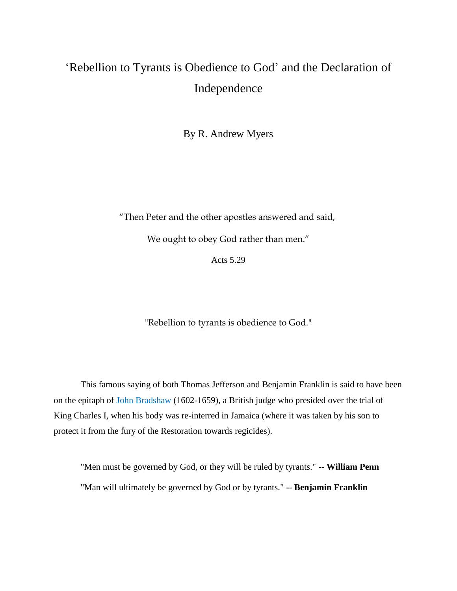# 'Rebellion to Tyrants is Obedience to God' and the Declaration of Independence

By R. Andrew Myers

"Then Peter and the other apostles answered and said,

We ought to obey God rather than men."

Acts 5.29

"Rebellion to tyrants is obedience to God."

This famous saying of both Thomas Jefferson and Benjamin Franklin is said to have been on the epitaph of [John Bradshaw](http://en.wikipedia.org/wiki/John_Bradshaw_%28judge%29) (1602-1659), a British judge who presided over the trial of King Charles I, when his body was re-interred in Jamaica (where it was taken by his son to protect it from the fury of the Restoration towards regicides).

"Men must be governed by God, or they will be ruled by tyrants." -- **William Penn** "Man will ultimately be governed by God or by tyrants." -- **Benjamin Franklin**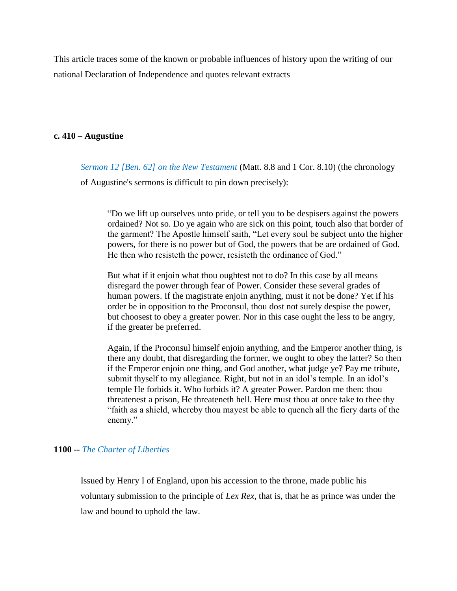This article traces some of the known or probable influences of history upon the writing of our national Declaration of Independence and quotes relevant extracts

# **c. 410** – **Augustine**

*[Sermon 12 \[Ben. 62\] on the New Testament](http://www.ccel.org/ccel/schaff/npnf106.vii.xiv.html)* (Matt. 8.8 and 1 Cor. 8.10) (the chronology of Augustine's sermons is difficult to pin down precisely):

"Do we lift up ourselves unto pride, or tell you to be despisers against the powers ordained? Not so. Do ye again who are sick on this point, touch also that border of the garment? The Apostle himself saith, "Let every soul be subject unto the higher powers, for there is no power but of God, the powers that be are ordained of God. He then who resisteth the power, resisteth the ordinance of God."

But what if it enjoin what thou oughtest not to do? In this case by all means disregard the power through fear of Power. Consider these several grades of human powers. If the magistrate enjoin anything, must it not be done? Yet if his order be in opposition to the Proconsul, thou dost not surely despise the power, but choosest to obey a greater power. Nor in this case ought the less to be angry, if the greater be preferred.

Again, if the Proconsul himself enjoin anything, and the Emperor another thing, is there any doubt, that disregarding the former, we ought to obey the latter? So then if the Emperor enjoin one thing, and God another, what judge ye? Pay me tribute, submit thyself to my allegiance. Right, but not in an idol's temple. In an idol's temple He forbids it. Who forbids it? A greater Power. Pardon me then: thou threatenest a prison, He threateneth hell. Here must thou at once take to thee thy "faith as a shield, whereby thou mayest be able to quench all the fiery darts of the enemy."

# **1100** -- *The [Charter of Liberties](http://en.wikipedia.org/wiki/Charter_of_Liberties)*

Issued by Henry I of England, upon his accession to the throne, made public his voluntary submission to the principle of *Lex Rex*, that is, that he as prince was under the law and bound to uphold the law.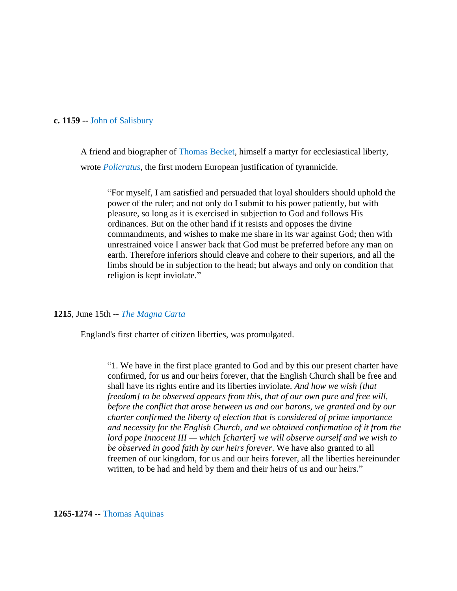# **c. 1159** -- John [of Salisbury](http://en.wikipedia.org/wiki/John_of_Salisbury)

A friend and biographer of [Thomas Becket,](http://en.wikipedia.org/wiki/Thomas_Becket) himself a martyr for ecclesiastical liberty, wrote *[Policratus](http://en.wikipedia.org/wiki/Policraticus)*, the first modern European justification of tyrannicide.

"For myself, I am satisfied and persuaded that loyal shoulders should uphold the power of the ruler; and not only do I submit to his power patiently, but with pleasure, so long as it is exercised in subjection to God and follows His ordinances. But on the other hand if it resists and opposes the divine commandments, and wishes to make me share in its war against God; then with unrestrained voice I answer back that God must be preferred before any man on earth. Therefore inferiors should cleave and cohere to their superiors, and all the limbs should be in subjection to the head; but always and only on condition that religion is kept inviolate."

# **1215**, June 15th -- *The [Magna Carta](http://en.wikipedia.org/wiki/Magna_carta)*

England's first charter of citizen liberties, was promulgated.

"1. We have in the first place granted to God and by this our present charter have confirmed, for us and our heirs forever, that the English Church shall be free and shall have its rights entire and its liberties inviolate. *And how we wish [that freedom] to be observed appears from this, that of our own pure and free will, before the conflict that arose between us and our barons, we granted and by our charter confirmed the liberty of election that is considered of prime importance and necessity for the English Church*, *and we obtained confirmation of it from the lord pope Innocent III — which [charter] we will observe ourself and we wish to be observed in good faith by our heirs forever*. We have also granted to all freemen of our kingdom, for us and our heirs forever, all the liberties hereinunder written, to be had and held by them and their heirs of us and our heirs."

**1265-1274** -- [Thomas Aquinas](http://en.wikipedia.org/wiki/Thomas_Aquinas)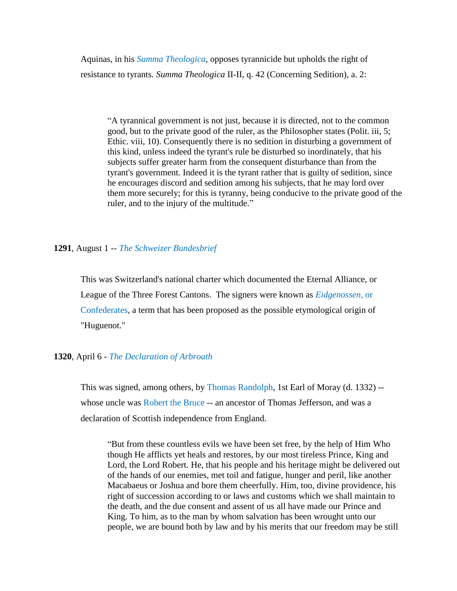Aquinas, in his *[Summa Theologica,](http://en.wikipedia.org/wiki/Summa_Theologica)* opposes tyrannicide but upholds the right of resistance to tyrants. *Summa Theologica* II-II, q. 42 (Concerning Sedition), a. 2:

"A tyrannical government is not just, because it is directed, not to the common good, but to the private good of the ruler, as the Philosopher states (Polit. iii, 5; Ethic. viii, 10). Consequently there is no sedition in disturbing a government of this kind, unless indeed the tyrant's rule be disturbed so inordinately, that his subjects suffer greater harm from the consequent disturbance than from the tyrant's government. Indeed it is the tyrant rather that is guilty of sedition, since he encourages discord and sedition among his subjects, that he may lord over them more securely; for this is tyranny, being conducive to the private good of the ruler, and to the injury of the multitude."

## **1291**, August 1 -- *The [Schweizer Bundesbrief](http://en.wikipedia.org/wiki/Federal_Charter)*

This was Switzerland's national charter which documented the Eternal Alliance, or League of the Three Forest Cantons. The signers were known as *[Eidgenossen](http://en.wikipedia.org/wiki/Eidgenossen)*, or [Confederates,](http://en.wikipedia.org/wiki/Eidgenossen) a term that has been proposed as the possible etymological origin of "Huguenot."

# **1320**, April 6 - *The [Declaration of Arbroath](http://en.wikipedia.org/wiki/Declaration_of_Arbroath)*

This was signed, among others, by [Thomas Randolph, 1st Earl of Moray](http://en.wikipedia.org/wiki/Thomas_Randolph,_1st_Earl_of_Moray) (d. 1332) - whose uncle was [Robert the Bruce](http://en.wikipedia.org/wiki/Robert_I_of_Scotland) -- an ancestor of Thomas Jefferson, and was a declaration of Scottish independence from England.

"But from these countless evils we have been set free, by the help of Him Who though He afflicts yet heals and restores, by our most tireless Prince, King and Lord, the Lord Robert. He, that his people and his heritage might be delivered out of the hands of our enemies, met toil and fatigue, hunger and peril, like another Macabaeus or Joshua and bore them cheerfully. Him, too, divine providence, his right of succession according to or laws and customs which we shall maintain to the death, and the due consent and assent of us all have made our Prince and King. To him, as to the man by whom salvation has been wrought unto our people, we are bound both by law and by his merits that our freedom may be still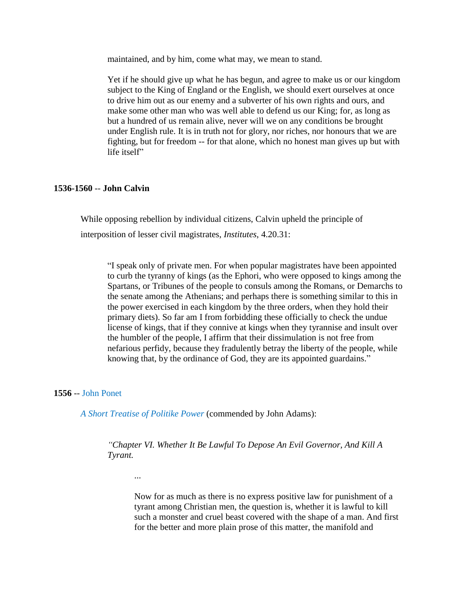maintained, and by him, come what may, we mean to stand.

Yet if he should give up what he has begun, and agree to make us or our kingdom subject to the King of England or the English, we should exert ourselves at once to drive him out as our enemy and a subverter of his own rights and ours, and make some other man who was well able to defend us our King; for, as long as but a hundred of us remain alive, never will we on any conditions be brought under English rule. It is in truth not for glory, nor riches, nor honours that we are fighting, but for freedom -- for that alone, which no honest man gives up but with life itself"

## **1536-1560** -- **John Calvin**

While opposing rebellion by individual citizens, Calvin upheld the principle of interposition of lesser civil magistrates, *Institutes*, 4.20.31:

"I speak only of private men. For when popular magistrates have been appointed to curb the tyranny of kings (as the Ephori, who were opposed to kings among the Spartans, or Tribunes of the people to consuls among the Romans, or Demarchs to the senate among the Athenians; and perhaps there is something similar to this in the power exercised in each kingdom by the three orders, when they hold their primary diets). So far am I from forbidding these officially to check the undue license of kings, that if they connive at kings when they tyrannise and insult over the humbler of the people, I affirm that their dissimulation is not free from nefarious perfidy, because they fradulently betray the liberty of the people, while knowing that, by the ordinance of God, they are its appointed guardains."

# **1556** -- [John Ponet](http://en.wikipedia.org/wiki/John_Ponet)

*[A Short Treatise of Politike Power](http://www.constitution.org/cmt/ponet/polpower.htm)* (commended by John Adams):

*"Chapter VI. Whether It Be Lawful To Depose An Evil Governor, And Kill A Tyrant.*

...

Now for as much as there is no express positive law for punishment of a tyrant among Christian men, the question is, whether it is lawful to kill such a monster and cruel beast covered with the shape of a man. And first for the better and more plain prose of this matter, the manifold and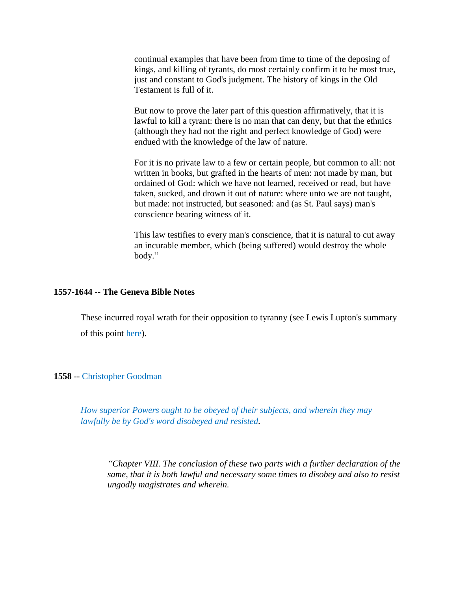continual examples that have been from time to time of the deposing of kings, and killing of tyrants, do most certainly confirm it to be most true, just and constant to God's judgment. The history of kings in the Old Testament is full of it.

But now to prove the later part of this question affirmatively, that it is lawful to kill a tyrant: there is no man that can deny, but that the ethnics (although they had not the right and perfect knowledge of God) were endued with the knowledge of the law of nature.

For it is no private law to a few or certain people, but common to all: not written in books, but grafted in the hearts of men: not made by man, but ordained of God: which we have not learned, received or read, but have taken, sucked, and drown it out of nature: where unto we are not taught, but made: not instructed, but seasoned: and (as St. Paul says) man's conscience bearing witness of it.

This law testifies to every man's conscience, that it is natural to cut away an incurable member, which (being suffered) would destroy the whole body."

# **1557-1644** -- **The Geneva Bible Notes**

These incurred royal wrath for their opposition to tyranny (see Lewis Lupton's summary of this point [here\)](http://virginiahuguenot.blogspot.com/2009/02/geneva-bible-contra-tyranny.html).

#### **1558** -- [Christopher Goodman](http://en.wikipedia.org/wiki/Christopher_Goodman)

*[How superior Powers ought to be obeyed of their subjects, and wherein they may](http://www.constitution.org/cmt/goodman/obeyed.htm)  [lawfully be by God's word disobeyed and resisted.](http://www.constitution.org/cmt/goodman/obeyed.htm)*

*"Chapter VIII. The conclusion of these two parts with a further declaration of the same, that it is both lawful and necessary some times to disobey and also to resist ungodly magistrates and wherein.*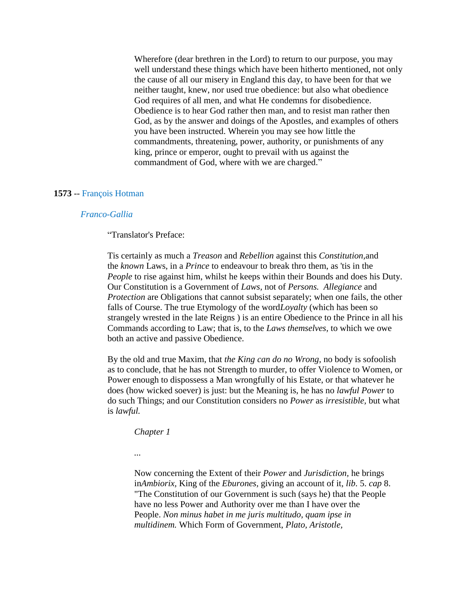Wherefore (dear brethren in the Lord) to return to our purpose, you may well understand these things which have been hitherto mentioned, not only the cause of all our misery in England this day, to have been for that we neither taught, knew, nor used true obedience: but also what obedience God requires of all men, and what He condemns for disobedience. Obedience is to hear God rather then man, and to resist man rather then God, as by the answer and doings of the Apostles, and examples of others you have been instructed. Wherein you may see how little the commandments, threatening, power, authority, or punishments of any king, prince or emperor, ought to prevail with us against the commandment of God, where with we are charged."

## **1573** -- [François Hotman](http://en.wikipedia.org/wiki/Fran%C3%A7ois_Hotman)

# *[Franco-Gallia](http://www.constitution.org/cmt/hotman/franco-gallia.htm)*

"Translator's Preface:

Tis certainly as much a *Treason* and *Rebellion* against this *Constitution,*and the *known* Laws, in a *Prince* to endeavour to break thro them, as 'tis in the *People* to rise against him, whilst he keeps within their Bounds and does his Duty. Our Constitution is a Government of *Laws,* not of *Persons. Allegiance* and *Protection* are Obligations that cannot subsist separately; when one fails, the other falls of Course. The true Etymology of the word*Loyalty* (which has been so strangely wrested in the late Reigns ) is an entire Obedience to the Prince in all his Commands according to Law; that is, to the *Laws themselves,* to which we owe both an active and passive Obedience.

By the old and true Maxim, that *the King can do no Wrong,* no body is sofoolish as to conclude, that he has not Strength to murder, to offer Violence to Women, or Power enough to dispossess a Man wrongfully of his Estate, or that whatever he does (how wicked soever) is just: but the Meaning is, he has no *lawful Power* to do such Things; and our Constitution considers no *Power* as *irresistible,* but what is *lawful.*

*Chapter 1*

*...*

Now concerning the Extent of their *Power* and *Jurisdiction,* he brings in*Ambiorix,* King of the *Eburones,* giving an account of it, *lib*. 5. *cap* 8. "The Constitution of our Government is such (says he) that the People have no less Power and Authority over me than I have over the People. *Non minus habet in me juris multitudo, quam ipse in multidinem.* Which Form of Government, *Plato, Aristotle,*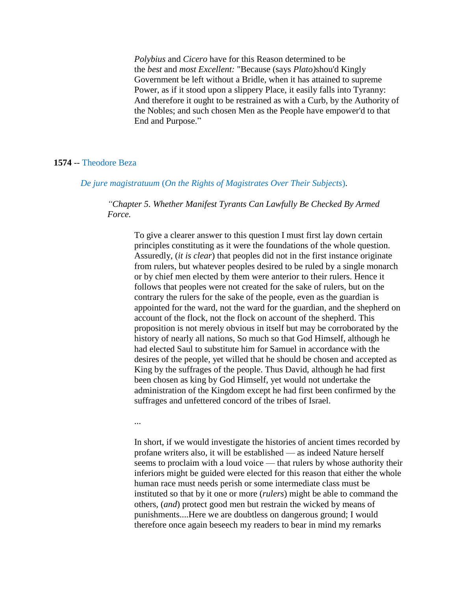*Polybius* and *Cicero* have for this Reason determined to be the *best* and *most Excellent:* "Because (says *Plato)*shou'd Kingly Government be left without a Bridle, when it has attained to supreme Power, as if it stood upon a slippery Place, it easily falls into Tyranny: And therefore it ought to be restrained as with a Curb, by the Authority of the Nobles; and such chosen Men as the People have empower'd to that End and Purpose."

## **1574** -- [Theodore Beza](http://en.wikipedia.org/wiki/Theodore_Beza)

*De jure magistratuum* (*[On the Rights of Magistrates Over Their Subjects](http://www.constitution.org/cmt/beza/magistrates.htm)*).

*"Chapter 5. Whether Manifest Tyrants Can Lawfully Be Checked By Armed Force.*

To give a clearer answer to this question I must first lay down certain principles constituting as it were the foundations of the whole question. Assuredly, (*it is clear*) that peoples did not in the first instance originate from rulers, but whatever peoples desired to be ruled by a single monarch or by chief men elected by them were anterior to their rulers. Hence it follows that peoples were not created for the sake of rulers, but on the contrary the rulers for the sake of the people, even as the guardian is appointed for the ward, not the ward for the guardian, and the shepherd on account of the flock, not the flock on account of the shepherd. This proposition is not merely obvious in itself but may be corroborated by the history of nearly all nations, So much so that God Himself, although he had elected Saul to substitute him for Samuel in accordance with the desires of the people, yet willed that he should be chosen and accepted as King by the suffrages of the people. Thus David, although he had first been chosen as king by God Himself, yet would not undertake the administration of the Kingdom except he had first been confirmed by the suffrages and unfettered concord of the tribes of Israel.

...

In short, if we would investigate the histories of ancient times recorded by profane writers also, it will be established — as indeed Nature herself seems to proclaim with a loud voice — that rulers by whose authority their inferiors might be guided were elected for this reason that either the whole human race must needs perish or some intermediate class must be instituted so that by it one or more (*rulers*) might be able to command the others, (*and*) protect good men but restrain the wicked by means of punishments....Here we are doubtless on dangerous ground; I would therefore once again beseech my readers to bear in mind my remarks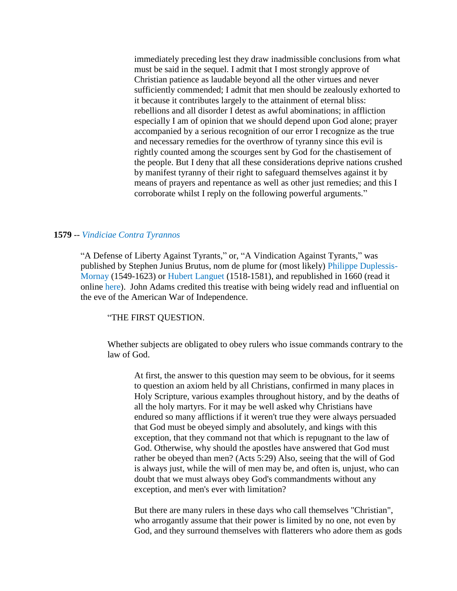immediately preceding lest they draw inadmissible conclusions from what must be said in the sequel. I admit that I most strongly approve of Christian patience as laudable beyond all the other virtues and never sufficiently commended; I admit that men should be zealously exhorted to it because it contributes largely to the attainment of eternal bliss: rebellions and all disorder I detest as awful abominations; in affliction especially I am of opinion that we should depend upon God alone; prayer accompanied by a serious recognition of our error I recognize as the true and necessary remedies for the overthrow of tyranny since this evil is rightly counted among the scourges sent by God for the chastisement of the people. But I deny that all these considerations deprive nations crushed by manifest tyranny of their right to safeguard themselves against it by means of prayers and repentance as well as other just remedies; and this I corroborate whilst I reply on the following powerful arguments."

# **1579** -- *[Vindiciae Contra Tyrannos](http://en.wikipedia.org/wiki/Vindiciae_contra_tyrannos)*

"A Defense of Liberty Against Tyrants," or, "A Vindication Against Tyrants," was published by Stephen Junius Brutus, nom de plume for (most likely) [Philippe Duplessis-](http://en.wikipedia.org/wiki/Philippe_de_Mornay)[Mornay](http://en.wikipedia.org/wiki/Philippe_de_Mornay) (1549-1623) or [Hubert Languet](http://en.wikipedia.org/wiki/Hubert_Languet) (1518-1581), and republished in 1660 (read it online [here\)](http://www.constitution.org/vct/vindiciae.htm). John Adams credited this treatise with being widely read and influential on the eve of the American War of Independence.

"THE FIRST QUESTION.

Whether subjects are obligated to obey rulers who issue commands contrary to the law of God.

At first, the answer to this question may seem to be obvious, for it seems to question an axiom held by all Christians, confirmed in many places in Holy Scripture, various examples throughout history, and by the deaths of all the holy martyrs. For it may be well asked why Christians have endured so many afflictions if it weren't true they were always persuaded that God must be obeyed simply and absolutely, and kings with this exception, that they command not that which is repugnant to the law of God. Otherwise, why should the apostles have answered that God must rather be obeyed than men? (Acts 5:29) Also, seeing that the will of God is always just, while the will of men may be, and often is, unjust, who can doubt that we must always obey God's commandments without any exception, and men's ever with limitation?

But there are many rulers in these days who call themselves "Christian", who arrogantly assume that their power is limited by no one, not even by God, and they surround themselves with flatterers who adore them as gods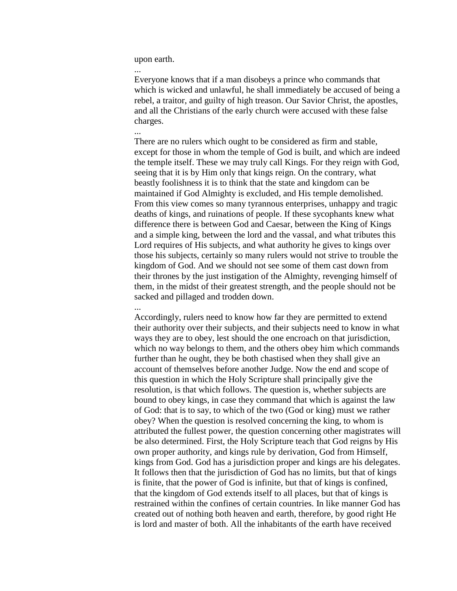upon earth.

...

...

Everyone knows that if a man disobeys a prince who commands that which is wicked and unlawful, he shall immediately be accused of being a rebel, a traitor, and guilty of high treason. Our Savior Christ, the apostles, and all the Christians of the early church were accused with these false charges.

There are no rulers which ought to be considered as firm and stable, except for those in whom the temple of God is built, and which are indeed the temple itself. These we may truly call Kings. For they reign with God, seeing that it is by Him only that kings reign. On the contrary, what beastly foolishness it is to think that the state and kingdom can be maintained if God Almighty is excluded, and His temple demolished. From this view comes so many tyrannous enterprises, unhappy and tragic deaths of kings, and ruinations of people. If these sycophants knew what difference there is between God and Caesar, between the King of Kings and a simple king, between the lord and the vassal, and what tributes this Lord requires of His subjects, and what authority he gives to kings over those his subjects, certainly so many rulers would not strive to trouble the kingdom of God. And we should not see some of them cast down from their thrones by the just instigation of the Almighty, revenging himself of them, in the midst of their greatest strength, and the people should not be sacked and pillaged and trodden down.

... Accordingly, rulers need to know how far they are permitted to extend their authority over their subjects, and their subjects need to know in what ways they are to obey, lest should the one encroach on that jurisdiction, which no way belongs to them, and the others obey him which commands further than he ought, they be both chastised when they shall give an account of themselves before another Judge. Now the end and scope of this question in which the Holy Scripture shall principally give the resolution, is that which follows. The question is, whether subjects are bound to obey kings, in case they command that which is against the law of God: that is to say, to which of the two (God or king) must we rather obey? When the question is resolved concerning the king, to whom is attributed the fullest power, the question concerning other magistrates will be also determined. First, the Holy Scripture teach that God reigns by His own proper authority, and kings rule by derivation, God from Himself, kings from God. God has a jurisdiction proper and kings are his delegates. It follows then that the jurisdiction of God has no limits, but that of kings is finite, that the power of God is infinite, but that of kings is confined, that the kingdom of God extends itself to all places, but that of kings is restrained within the confines of certain countries. In like manner God has created out of nothing both heaven and earth, therefore, by good right He is lord and master of both. All the inhabitants of the earth have received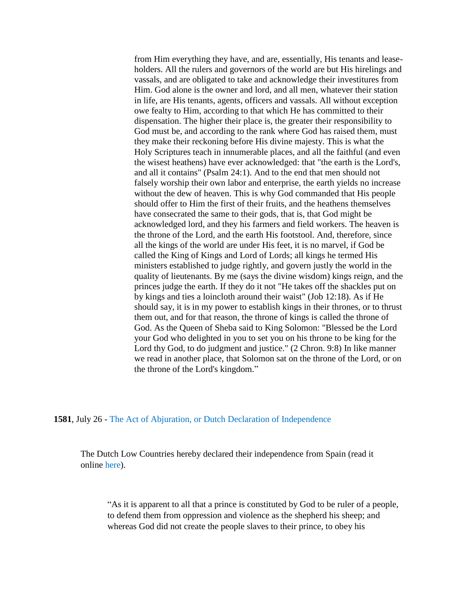from Him everything they have, and are, essentially, His tenants and leaseholders. All the rulers and governors of the world are but His hirelings and vassals, and are obligated to take and acknowledge their investitures from Him. God alone is the owner and lord, and all men, whatever their station in life, are His tenants, agents, officers and vassals. All without exception owe fealty to Him, according to that which He has committed to their dispensation. The higher their place is, the greater their responsibility to God must be, and according to the rank where God has raised them, must they make their reckoning before His divine majesty. This is what the Holy Scriptures teach in innumerable places, and all the faithful (and even the wisest heathens) have ever acknowledged: that "the earth is the Lord's, and all it contains" (Psalm 24:1). And to the end that men should not falsely worship their own labor and enterprise, the earth yields no increase without the dew of heaven. This is why God commanded that His people should offer to Him the first of their fruits, and the heathens themselves have consecrated the same to their gods, that is, that God might be acknowledged lord, and they his farmers and field workers. The heaven is the throne of the Lord, and the earth His footstool. And, therefore, since all the kings of the world are under His feet, it is no marvel, if God be called the King of Kings and Lord of Lords; all kings he termed His ministers established to judge rightly, and govern justly the world in the quality of lieutenants. By me (says the divine wisdom) kings reign, and the princes judge the earth. If they do it not "He takes off the shackles put on by kings and ties a loincloth around their waist" (Job 12:18). As if He should say, it is in my power to establish kings in their thrones, or to thrust them out, and for that reason, the throne of kings is called the throne of God. As the Queen of Sheba said to King Solomon: "Blessed be the Lord your God who delighted in you to set you on his throne to be king for the Lord thy God, to do judgment and justice." (2 Chron. 9:8) In like manner we read in another place, that Solomon sat on the throne of the Lord, or on the throne of the Lord's kingdom."

## **1581**, July 26 - The [Act of Abjuration, or Dutch Declaration of Independence](http://en.wikipedia.org/wiki/Act_of_Abjuration)

The Dutch Low Countries hereby declared their independence from Spain (read it online [here\)](http://etext.lib.virginia.edu/toc/modeng/public/NetDecl.html).

"As it is apparent to all that a prince is constituted by God to be ruler of a people, to defend them from oppression and violence as the shepherd his sheep; and whereas God did not create the people slaves to their prince, to obey his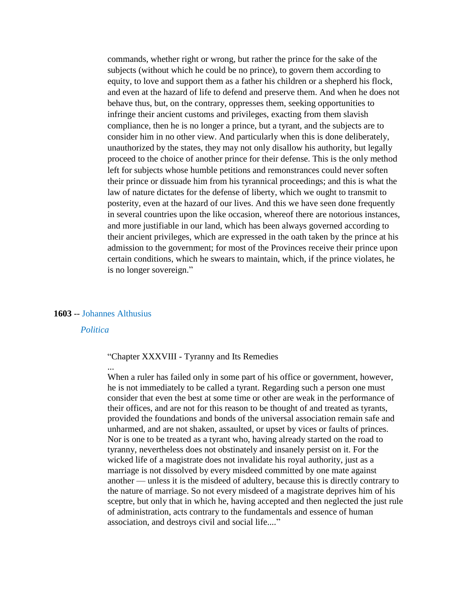commands, whether right or wrong, but rather the prince for the sake of the subjects (without which he could be no prince), to govern them according to equity, to love and support them as a father his children or a shepherd his flock, and even at the hazard of life to defend and preserve them. And when he does not behave thus, but, on the contrary, oppresses them, seeking opportunities to infringe their ancient customs and privileges, exacting from them slavish compliance, then he is no longer a prince, but a tyrant, and the subjects are to consider him in no other view. And particularly when this is done deliberately, unauthorized by the states, they may not only disallow his authority, but legally proceed to the choice of another prince for their defense. This is the only method left for subjects whose humble petitions and remonstrances could never soften their prince or dissuade him from his tyrannical proceedings; and this is what the law of nature dictates for the defense of liberty, which we ought to transmit to posterity, even at the hazard of our lives. And this we have seen done frequently in several countries upon the like occasion, whereof there are notorious instances, and more justifiable in our land, which has been always governed according to their ancient privileges, which are expressed in the oath taken by the prince at his admission to the government; for most of the Provinces receive their prince upon certain conditions, which he swears to maintain, which, if the prince violates, he is no longer sovereign."

# **1603** -- [Johannes Althusius](http://en.wikipedia.org/wiki/Johannes_Althusius)

...

## *[Politica](http://www.constitution.org/alth/alth.htm)*

"Chapter XXXVIII - Tyranny and Its Remedies

When a ruler has failed only in some part of his office or government, however, he is not immediately to be called a tyrant. Regarding such a person one must consider that even the best at some time or other are weak in the performance of their offices, and are not for this reason to be thought of and treated as tyrants, provided the foundations and bonds of the universal association remain safe and unharmed, and are not shaken, assaulted, or upset by vices or faults of princes. Nor is one to be treated as a tyrant who, having already started on the road to tyranny, nevertheless does not obstinately and insanely persist on it. For the wicked life of a magistrate does not invalidate his royal authority, just as a marriage is not dissolved by every misdeed committed by one mate against another — unless it is the misdeed of adultery, because this is directly contrary to the nature of marriage. So not every misdeed of a magistrate deprives him of his sceptre, but only that in which he, having accepted and then neglected the just rule of administration, acts contrary to the fundamentals and essence of human association, and destroys civil and social life...."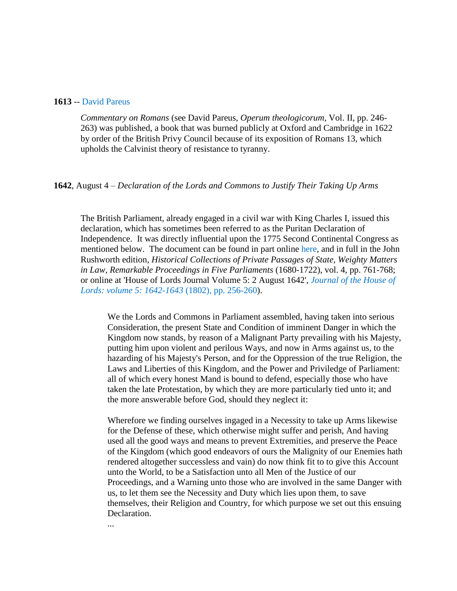## **1613** -- [David Pareus](http://en.wikipedia.org/wiki/David_Pareus)

...

*Commentary on Romans* (see David Pareus, *Operum theologicorum*, Vol. II, pp. 246- 263) was published, a book that was burned publicly at Oxford and Cambridge in 1622 by order of the British Privy Council because of its exposition of Romans 13, which upholds the Calvinist theory of resistance to tyranny.

# **1642**, August 4 – *Declaration of the Lords and Commons to Justify Their Taking Up Arms*

The British Parliament, already engaged in a civil war with King Charles I, issued this declaration, which has sometimes been referred to as the Puritan Declaration of Independence. It was directly influential upon the 1775 Second Continental Congress as mentioned below. The document can be found in part online [here,](http://www.constitution.org/primarysources/decparliament.html) and in full in the John Rushworth edition, *Historical Collections of Private Passages of State, Weighty Matters in Law, Remarkable Proceedings in Five Parliaments* (1680-1722), vol. 4, pp. 761-768; or online at 'House of Lords Journal Volume 5: 2 August 1642', *[Journal of the House of](https://www.british-history.ac.uk/report.aspx?compid=34864#s12)  [Lords: volume 5: 1642-1643](https://www.british-history.ac.uk/report.aspx?compid=34864#s12)* (1802), pp. 256-260).

We the Lords and Commons in Parliament assembled, having taken into serious Consideration, the present State and Condition of imminent Danger in which the Kingdom now stands, by reason of a Malignant Party prevailing with his Majesty, putting him upon violent and perilous Ways, and now in Arms against us, to the hazarding of his Majesty's Person, and for the Oppression of the true Religion, the Laws and Liberties of this Kingdom, and the Power and Priviledge of Parliament: all of which every honest Mand is bound to defend, especially those who have taken the late Protestation, by which they are more particularly tied unto it; and the more answerable before God, should they neglect it:

Wherefore we finding ourselves ingaged in a Necessity to take up Arms likewise for the Defense of these, which otherwise might suffer and perish, And having used all the good ways and means to prevent Extremities, and preserve the Peace of the Kingdom (which good endeavors of ours the Malignity of our Enemies hath rendered altogether successless and vain) do now think fit to to give this Account unto the World, to be a Satisfaction unto all Men of the Justice of our Proceedings, and a Warning unto those who are involved in the same Danger with us, to let them see the Necessity and Duty which lies upon them, to save themselves, their Religion and Country, for which purpose we set out this ensuing Declaration.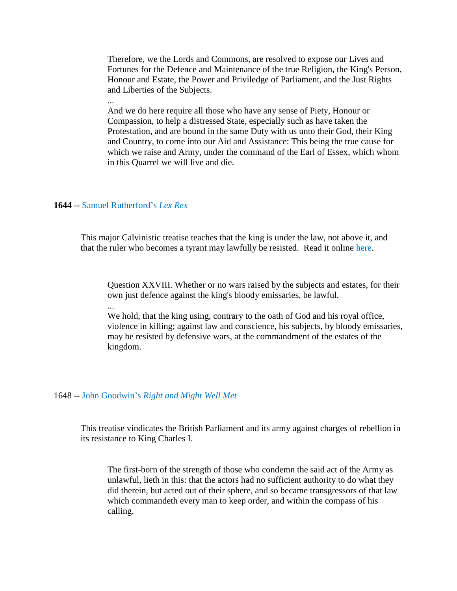Therefore, we the Lords and Commons, are resolved to expose our Lives and Fortunes for the Defence and Maintenance of the true Religion, the King's Person, Honour and Estate, the Power and Priviledge of Parliament, and the Just Rights and Liberties of the Subjects.

And we do here require all those who have any sense of Piety, Honour or Compassion, to help a distressed State, especially such as have taken the Protestation, and are bound in the same Duty with us unto their God, their King and Country, to come into our Aid and Assistance: This being the true cause for which we raise and Army, under the command of the Earl of Essex, which whom in this Quarrel we will live and die.

# **1644** -- [Samuel Rutherford'](http://en.wikipedia.org/wiki/Samuel_Rutherford)s *[Lex Rex](http://en.wikipedia.org/wiki/Lex,_Rex)*

...

...

This major Calvinistic treatise teaches that the king is under the law, not above it, and that the ruler who becomes a tyrant may lawfully be resisted. Read it online [here.](http://www.constitution.org/sr/lexrex.htm)

Question XXVIII. Whether or no wars raised by the subjects and estates, for their own just defence against the king's bloody emissaries, be lawful.

We hold, that the king using, contrary to the oath of God and his royal office, violence in killing; against law and conscience, his subjects, by bloody emissaries, may be resisted by defensive wars, at the commandment of the estates of the kingdom.

# 1648 -- [John Goodwin'](http://en.wikipedia.org/wiki/John_Goodwin_%28preacher%29)s *[Right and Might Well Met](http://oll.libertyfund.org/?option=com_staticxt&staticfile=show.php%3Ftitle=2183&chapter=201076&layout=html&Itemid=27)*

This treatise vindicates the British Parliament and its army against charges of rebellion in its resistance to King Charles I.

The first-born of the strength of those who condemn the said act of the Army as unlawful, lieth in this: that the actors had no sufficient authority to do what they did therein, but acted out of their sphere, and so became transgressors of that law which commandeth every man to keep order, and within the compass of his calling.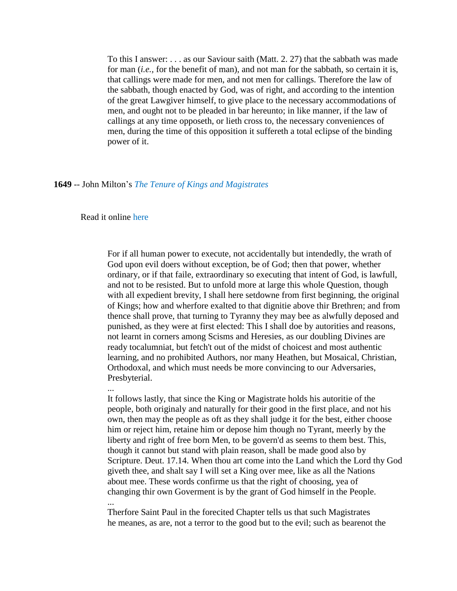To this I answer: . . . as our Saviour saith (Matt. 2. 27) that the sabbath was made for man (*i.e.,* for the benefit of man), and not man for the sabbath, so certain it is, that callings were made for men, and not men for callings. Therefore the law of the sabbath, though enacted by God, was of right, and according to the intention of the great Lawgiver himself, to give place to the necessary accommodations of men, and ought not to be pleaded in bar hereunto; in like manner, if the law of callings at any time opposeth, or lieth cross to, the necessary conveniences of men, during the time of this opposition it suffereth a total eclipse of the binding power of it.

# **1649** -- John Milton's *[The Tenure of Kings and Magistrates](http://en.wikipedia.org/wiki/The_Tenure_of_Kings_and_Magistrates)*

## Read it online [here](http://www.dartmouth.edu/~milton/reading_room/tenure/index.shtml)

...

...

For if all human power to execute, not accidentally but intendedly, the wrath of God upon evil doers without exception, be of God; then that power, whether ordinary, or if that faile, extraordinary so executing that intent of God, is lawfull, and not to be resisted. But to unfold more at large this whole Question, though with all expedient brevity, I shall here setdowne from first beginning, the original of Kings; how and wherfore exalted to that dignitie above thir Brethren; and from thence shall prove, that turning to Tyranny they may bee as alwfully deposed and punished, as they were at first elected: This I shall doe by autorities and reasons, not learnt in corners among Scisms and Heresies, as our doubling Divines are ready tocalumniat, but fetch't out of the midst of choicest and most authentic learning, and no prohibited Authors, nor many Heathen, but Mosaical, Christian, Orthodoxal, and which must needs be more convincing to our Adversaries, Presbyterial.

It follows lastly, that since the King or Magistrate holds his autoritie of the people, both originaly and naturally for their good in the first place, and not his own, then may the people as oft as they shall judge it for the best, either choose him or reject him, retaine him or depose him though no Tyrant, meerly by the liberty and right of free born Men, to be govern'd as seems to them best. This, though it cannot but stand with plain reason, shall be made good also by Scripture. Deut. 17.14. When thou art come into the Land which the Lord thy God giveth thee, and shalt say I will set a King over mee, like as all the Nations about mee. These words confirme us that the right of choosing, yea of changing thir own Goverment is by the grant of God himself in the People.

Therfore Saint Paul in the forecited Chapter tells us that such Magistrates he meanes, as are, not a terror to the good but to the evil; such as bearenot the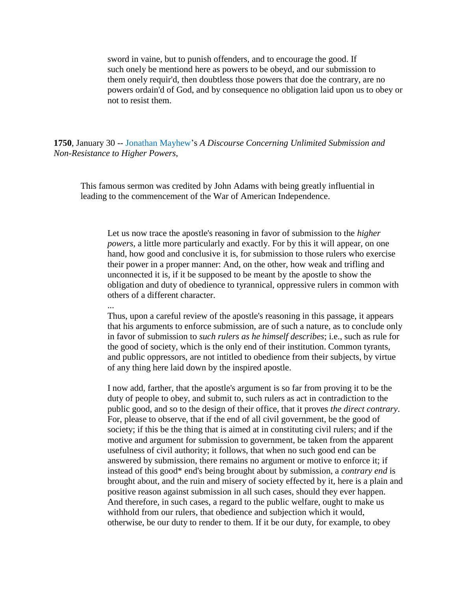sword in vaine, but to punish offenders, and to encourage the good. If such onely be mentiond here as powers to be obeyd, and our submission to them onely requir'd, then doubtless those powers that doe the contrary, are no powers ordain'd of God, and by consequence no obligation laid upon us to obey or not to resist them.

**1750**, January 30 -- [Jonathan Mayhew'](http://en.wikipedia.org/wiki/Jonathan_Mayhew)s *A Discourse Concerning Unlimited Submission and Non-Resistance to Higher Powers*,

...

This famous sermon was credited by John Adams with being greatly influential in leading to the commencement of the War of American Independence.

Let us now trace the apostle's reasoning in favor of submission to the *higher powers*, a little more particularly and exactly. For by this it will appear, on one hand, how good and conclusive it is, for submission to those rulers who exercise their power in a proper manner: And, on the other, how weak and trifling and unconnected it is, if it be supposed to be meant by the apostle to show the obligation and duty of obedience to tyrannical, oppressive rulers in common with others of a different character.

Thus, upon a careful review of the apostle's reasoning in this passage, it appears that his arguments to enforce submission, are of such a nature, as to conclude only in favor of submission to *such rulers as he himself describes*; i.e., such as rule for the good of society, which is the only end of their institution. Common tyrants, and public oppressors, are not intitled to obedience from their subjects, by virtue of any thing here laid down by the inspired apostle.

I now add, farther, that the apostle's argument is so far from proving it to be the duty of people to obey, and submit to, such rulers as act in contradiction to the public good, and so to the design of their office, that it proves *the direct contrary*. For, please to observe, that if the end of all civil government, be the good of society; if this be the thing that is aimed at in constituting civil rulers; and if the motive and argument for submission to government, be taken from the apparent usefulness of civil authority; it follows, that when no such good end can be answered by submission, there remains no argument or motive to enforce it; if instead of this good\* end's being brought about by submission, a *contrary end* is brought about, and the ruin and misery of society effected by it, here is a plain and positive reason against submission in all such cases, should they ever happen. And therefore, in such cases, a regard to the public welfare, ought to make us withhold from our rulers, that obedience and subjection which it would, otherwise, be our duty to render to them. If it be our duty, for example, to obey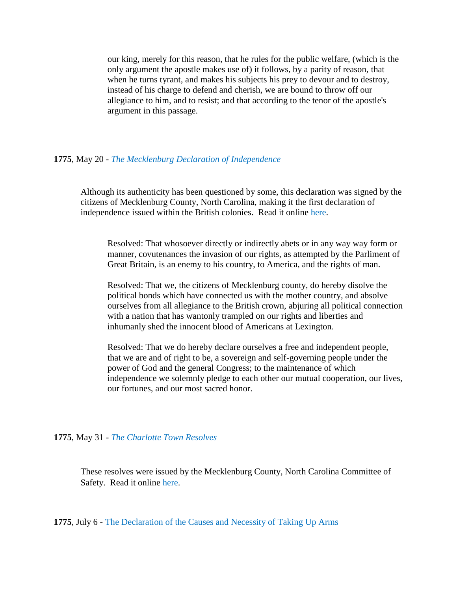our king, merely for this reason, that he rules for the public welfare, (which is the only argument the apostle makes use of) it follows, by a parity of reason, that when he turns tyrant, and makes his subjects his prey to devour and to destroy, instead of his charge to defend and cherish, we are bound to throw off our allegiance to him, and to resist; and that according to the tenor of the apostle's argument in this passage.

# **1775**, May 20 - *The [Mecklenburg Declaration of Independence](http://en.wikipedia.org/wiki/Mecklenburg_Declaration_of_Independence)*

Although its authenticity has been questioned by some, this declaration was signed by the citizens of Mecklenburg County, North Carolina, making it the first declaration of independence issued within the British colonies. Read it online [here.](http://www.rootsweb.ancestry.com/~ncomgs/declaration.htm)

Resolved: That whosoever directly or indirectly abets or in any way way form or manner, covutenances the invasion of our rights, as attempted by the Parliment of Great Britain, is an enemy to his country, to America, and the rights of man.

Resolved: That we, the citizens of Mecklenburg county, do hereby disolve the political bonds which have connected us with the mother country, and absolve ourselves from all allegiance to the British crown, abjuring all political connection with a nation that has wantonly trampled on our rights and liberties and inhumanly shed the innocent blood of Americans at Lexington.

Resolved: That we do hereby declare ourselves a free and independent people, that we are and of right to be, a sovereign and self-governing people under the power of God and the general Congress; to the maintenance of which independence we solemnly pledge to each other our mutual cooperation, our lives, our fortunes, and our most sacred honor.

**1775**, May 31 - *The [Charlotte Town Resolves](http://en.wikipedia.org/wiki/Mecklenburg_Resolves)*

These resolves were issued by the Mecklenburg County, North Carolina Committee of Safety. Read it online [here.](http://avalon.law.yale.edu/18th_century/charlott.asp)

**1775**, July 6 - The [Declaration of the Causes and Necessity of Taking Up Arms](http://en.wikipedia.org/wiki/Declaration_of_the_Causes_and_Necessity_of_Taking_Up_Arms)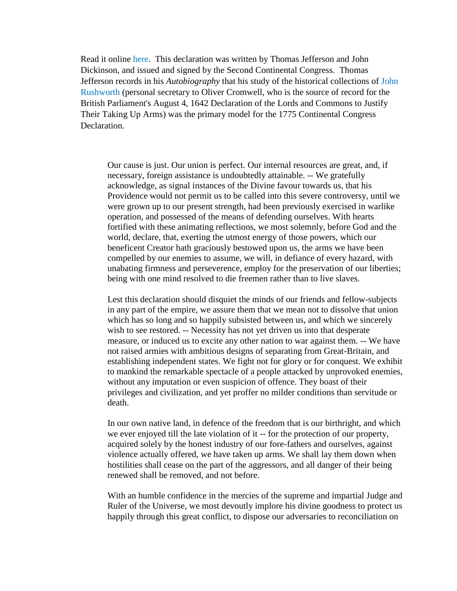Read it online [here.](http://www.nationalcenter.org/1775DeclarationofArms.html) This declaration was written by Thomas Jefferson and John Dickinson, and issued and signed by the Second Continental Congress. Thomas Jefferson records in his *Autobiography* that his study of the historical collections of [John](http://en.wikipedia.org/wiki/John_Rushworth)  [Rushworth](http://en.wikipedia.org/wiki/John_Rushworth) (personal secretary to Oliver Cromwell, who is the source of record for the British Parliament's August 4, 1642 Declaration of the Lords and Commons to Justify Their Taking Up Arms) was the primary model for the 1775 Continental Congress Declaration.

Our cause is just. Our union is perfect. Our internal resources are great, and, if necessary, foreign assistance is undoubtedly attainable. -- We gratefully acknowledge, as signal instances of the Divine favour towards us, that his Providence would not permit us to be called into this severe controversy, until we were grown up to our present strength, had been previously exercised in warlike operation, and possessed of the means of defending ourselves. With hearts fortified with these animating reflections, we most solemnly, before God and the world, declare, that, exerting the utmost energy of those powers, which our beneficent Creator hath graciously bestowed upon us, the arms we have been compelled by our enemies to assume, we will, in defiance of every hazard, with unabating firmness and perseverence, employ for the preservation of our liberties; being with one mind resolved to die freemen rather than to live slaves.

Lest this declaration should disquiet the minds of our friends and fellow-subjects in any part of the empire, we assure them that we mean not to dissolve that union which has so long and so happily subsisted between us, and which we sincerely wish to see restored. -- Necessity has not yet driven us into that desperate measure, or induced us to excite any other nation to war against them. -- We have not raised armies with ambitious designs of separating from Great-Britain, and establishing independent states. We fight not for glory or for conquest. We exhibit to mankind the remarkable spectacle of a people attacked by unprovoked enemies, without any imputation or even suspicion of offence. They boast of their privileges and civilization, and yet proffer no milder conditions than servitude or death.

In our own native land, in defence of the freedom that is our birthright, and which we ever enjoyed till the late violation of it -- for the protection of our property, acquired solely by the honest industry of our fore-fathers and ourselves, against violence actually offered, we have taken up arms. We shall lay them down when hostilities shall cease on the part of the aggressors, and all danger of their being renewed shall be removed, and not before.

With an humble confidence in the mercies of the supreme and impartial Judge and Ruler of the Universe, we most devoutly implore his divine goodness to protect us happily through this great conflict, to dispose our adversaries to reconciliation on